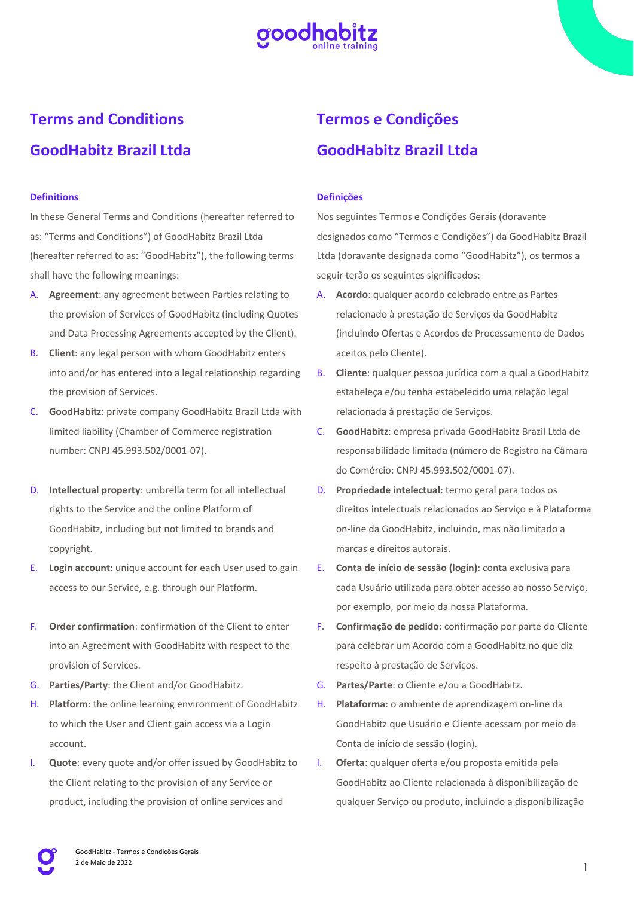

# **Terms and Conditions GoodHabitz Brazil Ltda**

# **Definitions**

In these General Terms and Conditions (hereafter referred to as: "Terms and Conditions") of GoodHabitz Brazil Ltda (hereafter referred to as: "GoodHabitz"), the following terms shall have the following meanings:

- A. **Agreement**: any agreement between Parties relating to the provision of Services of GoodHabitz (including Quotes and Data Processing Agreements accepted by the Client).
- B. **Client**: any legal person with whom GoodHabitz enters into and/or has entered into a legal relationship regarding the provision of Services.
- C. **GoodHabitz**: private company GoodHabitz Brazil Ltda with limited liability (Chamber of Commerce registration number: CNPJ 45.993.502/0001-07).
- D. **Intellectual property**: umbrella term for all intellectual rights to the Service and the online Platform of GoodHabitz, including but not limited to brands and copyright.
- E. **Login account**: unique account for each User used to gain access to our Service, e.g. through our Platform.
- F. **Order confirmation**: confirmation of the Client to enter into an Agreement with GoodHabitz with respect to the provision of Services.
- G. **Parties/Party**: the Client and/or GoodHabitz.
- H. **Platform**: the online learning environment of GoodHabitz to which the User and Client gain access via a Login account.
- I. **Quote**: every quote and/or offer issued by GoodHabitz to the Client relating to the provision of any Service or product, including the provision of online services and

# **Termos e Condições GoodHabitz Brazil Ltda**

## **Definições**

Nos seguintes Termos e Condições Gerais (doravante designados como "Termos e Condições") da GoodHabitz Brazil Ltda (doravante designada como "GoodHabitz"), os termos a seguir terão os seguintes significados:

- A. **Acordo**: qualquer acordo celebrado entre as Partes relacionado à prestação de Serviços da GoodHabitz (incluindo Ofertas e Acordos de Processamento de Dados aceitos pelo Cliente).
- B. **Cliente**: qualquer pessoa jurídica com a qual a GoodHabitz estabeleça e/ou tenha estabelecido uma relação legal relacionada à prestação de Serviços.
- C. **GoodHabitz**: empresa privada GoodHabitz Brazil Ltda de responsabilidade limitada (número de Registro na Câmara do Comércio: CNPJ 45.993.502/0001-07).
- D. **Propriedade intelectual**: termo geral para todos os direitos intelectuais relacionados ao Serviço e à Plataforma on-line da GoodHabitz, incluindo, mas não limitado a marcas e direitos autorais.
- E. **Conta de início de sessão (login)**: conta exclusiva para cada Usuário utilizada para obter acesso ao nosso Serviço, por exemplo, por meio da nossa Plataforma.
- F. **Confirmação de pedido**: confirmação por parte do Cliente para celebrar um Acordo com a GoodHabitz no que diz respeito à prestação de Serviços.
- G. **Partes/Parte**: o Cliente e/ou a GoodHabitz.
- H. **Plataforma**: o ambiente de aprendizagem on-line da GoodHabitz que Usuário e Cliente acessam por meio da Conta de início de sessão (login).
- I. **Oferta**: qualquer oferta e/ou proposta emitida pela GoodHabitz ao Cliente relacionada à disponibilização de qualquer Serviço ou produto, incluindo a disponibilização

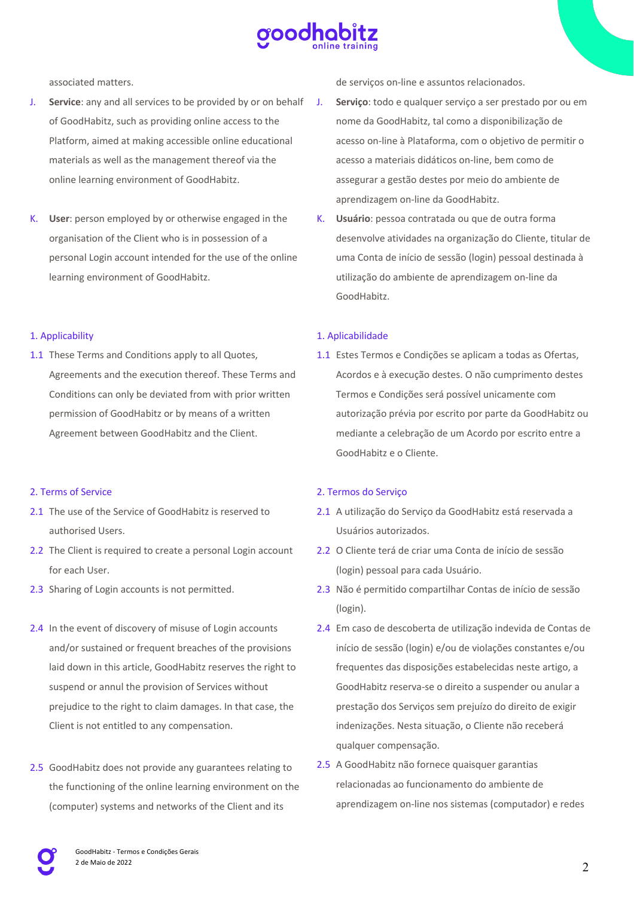

associated matters.

- J. **Service**: any and all services to be provided by or on behalf of GoodHabitz, such as providing online access to the Platform, aimed at making accessible online educational materials as well as the management thereof via the online learning environment of GoodHabitz.
- K. **User**: person employed by or otherwise engaged in the organisation of the Client who is in possession of a personal Login account intended for the use of the online learning environment of GoodHabitz.

# 1. Applicability

1.1 These Terms and Conditions apply to all Quotes, Agreements and the execution thereof. These Terms and Conditions can only be deviated from with prior written permission of GoodHabitz or by means of a written Agreement between GoodHabitz and the Client.

# 2. Terms of Service

- 2.1 The use of the Service of GoodHabitz is reserved to authorised Users.
- 2.2 The Client is required to create a personal Login account for each User.
- 2.3 Sharing of Login accounts is not permitted.
- 2.4 In the event of discovery of misuse of Login accounts and/or sustained or frequent breaches of the provisions laid down in this article, GoodHabitz reserves the right to suspend or annul the provision of Services without prejudice to the right to claim damages. In that case, the Client is not entitled to any compensation.
- 2.5 GoodHabitz does not provide any guarantees relating to the functioning of the online learning environment on the (computer) systems and networks of the Client and its

de serviços on-line e assuntos relacionados.

- J. **Serviço**: todo e qualquer serviço a ser prestado por ou em nome da GoodHabitz, tal como a disponibilização de acesso on-line à Plataforma, com o objetivo de permitir o acesso a materiais didáticos on-line, bem como de assegurar a gestão destes por meio do ambiente de aprendizagem on-line da GoodHabitz.
- K. **Usuário**: pessoa contratada ou que de outra forma desenvolve atividades na organização do Cliente, titular de uma Conta de início de sessão (login) pessoal destinada à utilização do ambiente de aprendizagem on-line da GoodHabitz.

# 1. Aplicabilidade

1.1 Estes Termos e Condições se aplicam a todas as Ofertas, Acordos e à execução destes. O não cumprimento destes Termos e Condições será possível unicamente com autorização prévia por escrito por parte da GoodHabitz ou mediante a celebração de um Acordo por escrito entre a GoodHabitz e o Cliente.

#### 2. Termos do Serviço

- 2.1 A utilização do Serviço da GoodHabitz está reservada a Usuários autorizados.
- 2.2 O Cliente terá de criar uma Conta de início de sessão (login) pessoal para cada Usuário.
- 2.3 Não é permitido compartilhar Contas de início de sessão (login).
- 2.4 Em caso de descoberta de utilização indevida de Contas de início de sessão (login) e/ou de violações constantes e/ou frequentes das disposições estabelecidas neste artigo, a GoodHabitz reserva-se o direito a suspender ou anular a prestação dos Serviços sem prejuízo do direito de exigir indenizações. Nesta situação, o Cliente não receberá qualquer compensação.
- 2.5 A GoodHabitz não fornece quaisquer garantias relacionadas ao funcionamento do ambiente de aprendizagem on-line nos sistemas (computador) e redes

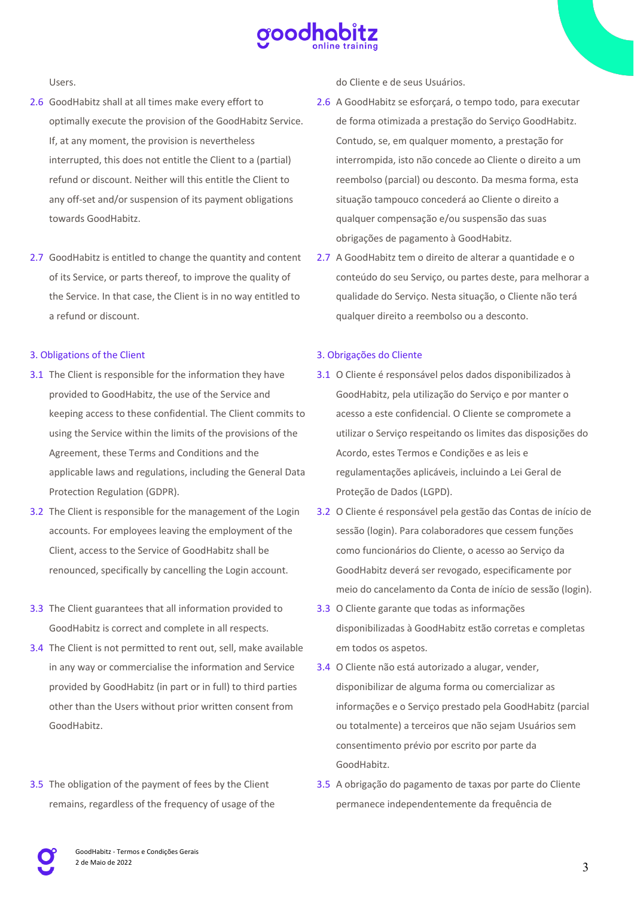

Users.

- 2.6 GoodHabitz shall at all times make every effort to optimally execute the provision of the GoodHabitz Service. If, at any moment, the provision is nevertheless interrupted, this does not entitle the Client to a (partial) refund or discount. Neither will this entitle the Client to any off-set and/or suspension of its payment obligations towards GoodHabitz.
- 2.7 GoodHabitz is entitled to change the quantity and content of its Service, or parts thereof, to improve the quality of the Service. In that case, the Client is in no way entitled to a refund or discount.

#### 3. Obligations of the Client

- 3.1 The Client is responsible for the information they have provided to GoodHabitz, the use of the Service and keeping access to these confidential. The Client commits to using the Service within the limits of the provisions of the Agreement, these Terms and Conditions and the applicable laws and regulations, including the General Data Protection Regulation (GDPR).
- 3.2 The Client is responsible for the management of the Login accounts. For employees leaving the employment of the Client, access to the Service of GoodHabitz shall be renounced, specifically by cancelling the Login account.
- 3.3 The Client guarantees that all information provided to GoodHabitz is correct and complete in all respects.
- 3.4 The Client is not permitted to rent out, sell, make available in any way or commercialise the information and Service provided by GoodHabitz (in part or in full) to third parties other than the Users without prior written consent from GoodHabitz.
- 3.5 The obligation of the payment of fees by the Client remains, regardless of the frequency of usage of the

do Cliente e de seus Usuários.

- 2.6 A GoodHabitz se esforçará, o tempo todo, para executar de forma otimizada a prestação do Serviço GoodHabitz. Contudo, se, em qualquer momento, a prestação for interrompida, isto não concede ao Cliente o direito a um reembolso (parcial) ou desconto. Da mesma forma, esta situação tampouco concederá ao Cliente o direito a qualquer compensação e/ou suspensão das suas obrigações de pagamento à GoodHabitz.
- 2.7 A GoodHabitz tem o direito de alterar a quantidade e o conteúdo do seu Serviço, ou partes deste, para melhorar a qualidade do Serviço. Nesta situação, o Cliente não terá qualquer direito a reembolso ou a desconto.

## 3. Obrigações do Cliente

- 3.1 O Cliente é responsável pelos dados disponibilizados à GoodHabitz, pela utilização do Serviço e por manter o acesso a este confidencial. O Cliente se compromete a utilizar o Serviço respeitando os limites das disposições do Acordo, estes Termos e Condições e as leis e regulamentações aplicáveis, incluindo a Lei Geral de Proteção de Dados (LGPD).
- 3.2 O Cliente é responsável pela gestão das Contas de início de sessão (login). Para colaboradores que cessem funções como funcionários do Cliente, o acesso ao Serviço da GoodHabitz deverá ser revogado, especificamente por meio do cancelamento da Conta de início de sessão (login).
- 3.3 O Cliente garante que todas as informações disponibilizadas à GoodHabitz estão corretas e completas em todos os aspetos.
- 3.4 O Cliente não está autorizado a alugar, vender, disponibilizar de alguma forma ou comercializar as informações e o Serviço prestado pela GoodHabitz (parcial ou totalmente) a terceiros que não sejam Usuários sem consentimento prévio por escrito por parte da GoodHabitz.
- 3.5 A obrigação do pagamento de taxas por parte do Cliente permanece independentemente da frequência de

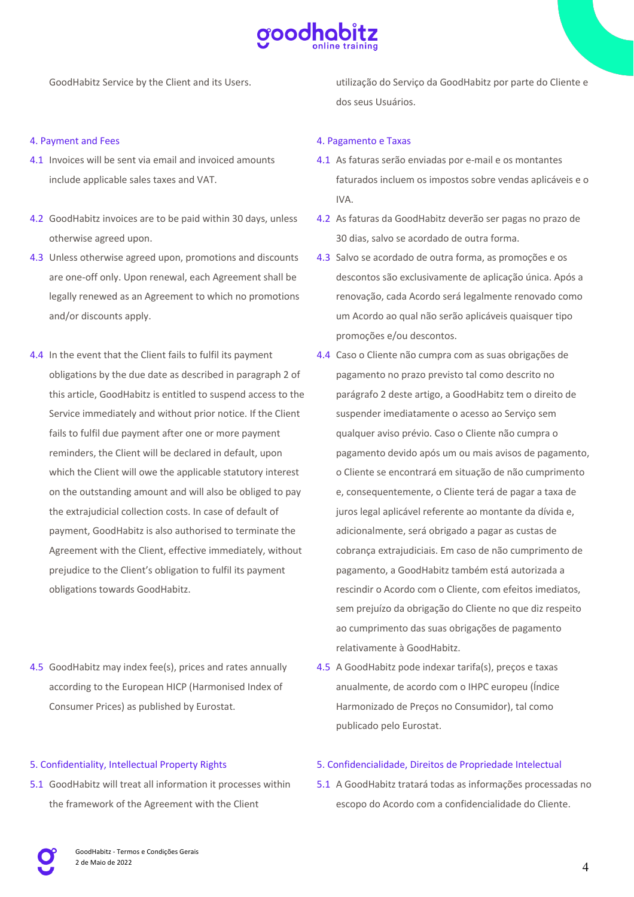

GoodHabitz Service by the Client and its Users.

#### 4. Payment and Fees

- 4.1 Invoices will be sent via email and invoiced amounts include applicable sales taxes and VAT.
- 4.2 GoodHabitz invoices are to be paid within 30 days, unless otherwise agreed upon.
- 4.3 Unless otherwise agreed upon, promotions and discounts are one-off only. Upon renewal, each Agreement shall be legally renewed as an Agreement to which no promotions and/or discounts apply.
- 4.4 In the event that the Client fails to fulfil its payment obligations by the due date as described in paragraph 2 of this article, GoodHabitz is entitled to suspend access to the Service immediately and without prior notice. If the Client fails to fulfil due payment after one or more payment reminders, the Client will be declared in default, upon which the Client will owe the applicable statutory interest on the outstanding amount and will also be obliged to pay the extrajudicial collection costs. In case of default of payment, GoodHabitz is also authorised to terminate the Agreement with the Client, effective immediately, without prejudice to the Client's obligation to fulfil its payment obligations towards GoodHabitz.
- 4.5 GoodHabitz may index fee(s), prices and rates annually according to the European HICP (Harmonised Index of Consumer Prices) as published by Eurostat.

#### 5. Confidentiality, Intellectual Property Rights

5.1 GoodHabitz will treat all information it processes within the framework of the Agreement with the Client

utilização do Serviço da GoodHabitz por parte do Cliente e dos seus Usuários.

#### 4. Pagamento e Taxas

- 4.1 As faturas serão enviadas por e-mail e os montantes faturados incluem os impostos sobre vendas aplicáveis e o IVA.
- 4.2 As faturas da GoodHabitz deverão ser pagas no prazo de 30 dias, salvo se acordado de outra forma.
- 4.3 Salvo se acordado de outra forma, as promoções e os descontos são exclusivamente de aplicação única. Após a renovação, cada Acordo será legalmente renovado como um Acordo ao qual não serão aplicáveis quaisquer tipo promoções e/ou descontos.
- 4.4 Caso o Cliente não cumpra com as suas obrigações de pagamento no prazo previsto tal como descrito no parágrafo 2 deste artigo, a GoodHabitz tem o direito de suspender imediatamente o acesso ao Serviço sem qualquer aviso prévio. Caso o Cliente não cumpra o pagamento devido após um ou mais avisos de pagamento, o Cliente se encontrará em situação de não cumprimento e, consequentemente, o Cliente terá de pagar a taxa de juros legal aplicável referente ao montante da dívida e, adicionalmente, será obrigado a pagar as custas de cobrança extrajudiciais. Em caso de não cumprimento de pagamento, a GoodHabitz também está autorizada a rescindir o Acordo com o Cliente, com efeitos imediatos, sem prejuízo da obrigação do Cliente no que diz respeito ao cumprimento das suas obrigações de pagamento relativamente à GoodHabitz.
- 4.5 A GoodHabitz pode indexar tarifa(s), preços e taxas anualmente, de acordo com o IHPC europeu (Índice Harmonizado de Preços no Consumidor), tal como publicado pelo Eurostat.

## 5. Confidencialidade, Direitos de Propriedade Intelectual

5.1 A GoodHabitz tratará todas as informações processadas no escopo do Acordo com a confidencialidade do Cliente.

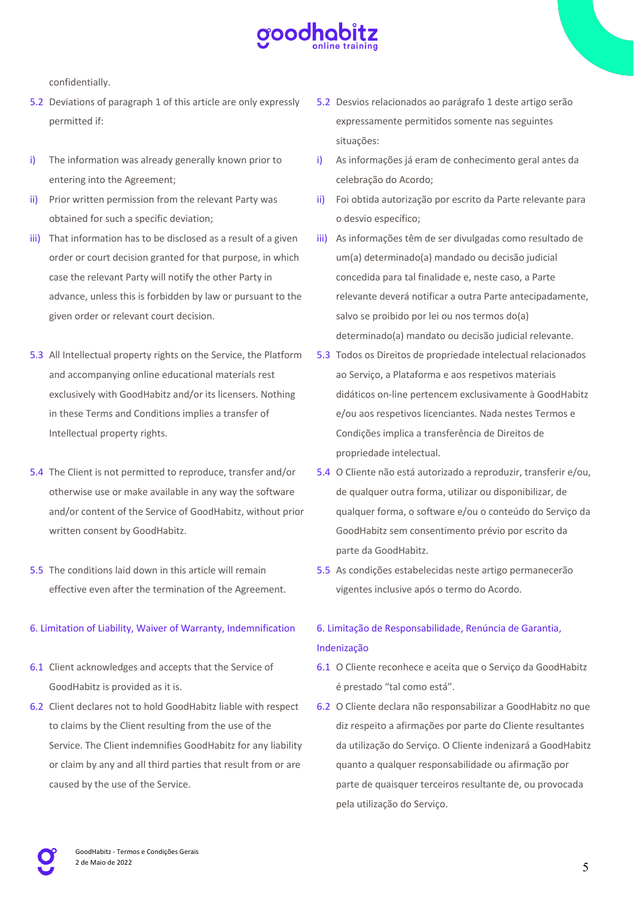

confidentially.

- 5.2 Deviations of paragraph 1 of this article are only expressly permitted if:
- i) The information was already generally known prior to entering into the Agreement;
- ii) Prior written permission from the relevant Party was obtained for such a specific deviation;
- iii) That information has to be disclosed as a result of a given order or court decision granted for that purpose, in which case the relevant Party will notify the other Party in advance, unless this is forbidden by law or pursuant to the given order or relevant court decision.
- 5.3 All Intellectual property rights on the Service, the Platform and accompanying online educational materials rest exclusively with GoodHabitz and/or its licensers. Nothing in these Terms and Conditions implies a transfer of Intellectual property rights.
- 5.4 The Client is not permitted to reproduce, transfer and/or otherwise use or make available in any way the software and/or content of the Service of GoodHabitz, without prior written consent by GoodHabitz.
- 5.5 The conditions laid down in this article will remain effective even after the termination of the Agreement.

# 6. Limitation of Liability, Waiver of Warranty, Indemnification

- 6.1 Client acknowledges and accepts that the Service of GoodHabitz is provided as it is.
- 6.2 Client declares not to hold GoodHabitz liable with respect to claims by the Client resulting from the use of the Service. The Client indemnifies GoodHabitz for any liability or claim by any and all third parties that result from or are caused by the use of the Service.
- 5.2 Desvios relacionados ao parágrafo 1 deste artigo serão expressamente permitidos somente nas seguintes situações:
- i) As informações já eram de conhecimento geral antes da celebração do Acordo;
- ii) Foi obtida autorização por escrito da Parte relevante para o desvio específico;
- iii) As informações têm de ser divulgadas como resultado de um(a) determinado(a) mandado ou decisão judicial concedida para tal finalidade e, neste caso, a Parte relevante deverá notificar a outra Parte antecipadamente, salvo se proibido por lei ou nos termos do(a) determinado(a) mandato ou decisão judicial relevante.
- 5.3 Todos os Direitos de propriedade intelectual relacionados ao Serviço, a Plataforma e aos respetivos materiais didáticos on-line pertencem exclusivamente à GoodHabitz e/ou aos respetivos licenciantes. Nada nestes Termos e Condições implica a transferência de Direitos de propriedade intelectual.
- 5.4 O Cliente não está autorizado a reproduzir, transferir e/ou, de qualquer outra forma, utilizar ou disponibilizar, de qualquer forma, o software e/ou o conteúdo do Serviço da GoodHabitz sem consentimento prévio por escrito da parte da GoodHabitz.
- 5.5 As condições estabelecidas neste artigo permanecerão vigentes inclusive após o termo do Acordo.

# 6. Limitação de Responsabilidade, Renúncia de Garantia, Indenização

- 6.1 O Cliente reconhece e aceita que o Serviço da GoodHabitz é prestado "tal como está".
- 6.2 O Cliente declara não responsabilizar a GoodHabitz no que diz respeito a afirmações por parte do Cliente resultantes da utilização do Serviço. O Cliente indenizará a GoodHabitz quanto a qualquer responsabilidade ou afirmação por parte de quaisquer terceiros resultante de, ou provocada pela utilização do Serviço.

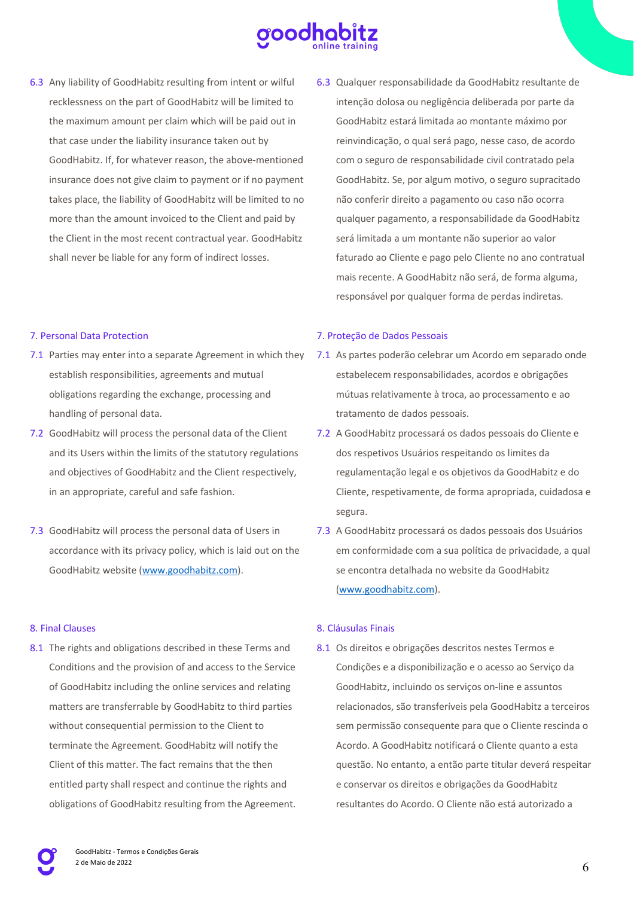

6.3 Any liability of GoodHabitz resulting from intent or wilful recklessness on the part of GoodHabitz will be limited to the maximum amount per claim which will be paid out in that case under the liability insurance taken out by GoodHabitz. If, for whatever reason, the above-mentioned insurance does not give claim to payment or if no payment takes place, the liability of GoodHabitz will be limited to no more than the amount invoiced to the Client and paid by the Client in the most recent contractual year. GoodHabitz shall never be liable for any form of indirect losses.

#### 7. Personal Data Protection

- 7.1 Parties may enter into a separate Agreement in which they 7.1 As partes poderão celebrar um Acordo em separado onde establish responsibilities, agreements and mutual obligations regarding the exchange, processing and handling of personal data.
- 7.2 GoodHabitz will process the personal data of the Client and its Users within the limits of the statutory regulations and objectives of GoodHabitz and the Client respectively, in an appropriate, careful and safe fashion.
- 7.3 GoodHabitz will process the personal data of Users in accordance with its privacy policy, which is laid out on the GoodHabitz website (www.goodhabitz.com).

# 8. Final Clauses

8.1 The rights and obligations described in these Terms and Conditions and the provision of and access to the Service of GoodHabitz including the online services and relating matters are transferrable by GoodHabitz to third parties without consequential permission to the Client to terminate the Agreement. GoodHabitz will notify the Client of this matter. The fact remains that the then entitled party shall respect and continue the rights and obligations of GoodHabitz resulting from the Agreement. 6.3 Qualquer responsabilidade da GoodHabitz resultante de intenção dolosa ou negligência deliberada por parte da GoodHabitz estará limitada ao montante máximo por reinvindicação, o qual será pago, nesse caso, de acordo com o seguro de responsabilidade civil contratado pela GoodHabitz. Se, por algum motivo, o seguro supracitado não conferir direito a pagamento ou caso não ocorra qualquer pagamento, a responsabilidade da GoodHabitz será limitada a um montante não superior ao valor faturado ao Cliente e pago pelo Cliente no ano contratual mais recente. A GoodHabitz não será, de forma alguma, responsável por qualquer forma de perdas indiretas.

#### 7. Proteção de Dados Pessoais

- estabelecem responsabilidades, acordos e obrigações mútuas relativamente à troca, ao processamento e ao tratamento de dados pessoais.
- 7.2 A GoodHabitz processará os dados pessoais do Cliente e dos respetivos Usuários respeitando os limites da regulamentação legal e os objetivos da GoodHabitz e do Cliente, respetivamente, de forma apropriada, cuidadosa e segura.
- 7.3 A GoodHabitz processará os dados pessoais dos Usuários em conformidade com a sua política de privacidade, a qual se encontra detalhada no website da GoodHabitz (www.goodhabitz.com).

# 8. Cláusulas Finais

8.1 Os direitos e obrigações descritos nestes Termos e Condições e a disponibilização e o acesso ao Serviço da GoodHabitz, incluindo os serviços on-line e assuntos relacionados, são transferíveis pela GoodHabitz a terceiros sem permissão consequente para que o Cliente rescinda o Acordo. A GoodHabitz notificará o Cliente quanto a esta questão. No entanto, a então parte titular deverá respeitar e conservar os direitos e obrigações da GoodHabitz resultantes do Acordo. O Cliente não está autorizado a